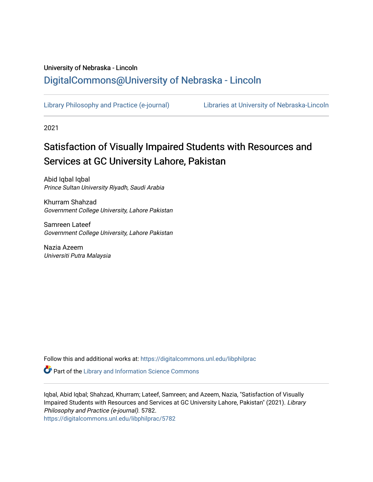## University of Nebraska - Lincoln [DigitalCommons@University of Nebraska - Lincoln](https://digitalcommons.unl.edu/)

[Library Philosophy and Practice \(e-journal\)](https://digitalcommons.unl.edu/libphilprac) [Libraries at University of Nebraska-Lincoln](https://digitalcommons.unl.edu/libraries) 

2021

## Satisfaction of Visually Impaired Students with Resources and Services at GC University Lahore, Pakistan

Abid Iqbal Iqbal Prince Sultan University Riyadh, Saudi Arabia

Khurram Shahzad Government College University, Lahore Pakistan

Samreen Lateef Government College University, Lahore Pakistan

Nazia Azeem Universiti Putra Malaysia

Follow this and additional works at: [https://digitalcommons.unl.edu/libphilprac](https://digitalcommons.unl.edu/libphilprac?utm_source=digitalcommons.unl.edu%2Flibphilprac%2F5782&utm_medium=PDF&utm_campaign=PDFCoverPages) 

Part of the [Library and Information Science Commons](http://network.bepress.com/hgg/discipline/1018?utm_source=digitalcommons.unl.edu%2Flibphilprac%2F5782&utm_medium=PDF&utm_campaign=PDFCoverPages) 

Iqbal, Abid Iqbal; Shahzad, Khurram; Lateef, Samreen; and Azeem, Nazia, "Satisfaction of Visually Impaired Students with Resources and Services at GC University Lahore, Pakistan" (2021). Library Philosophy and Practice (e-journal). 5782. [https://digitalcommons.unl.edu/libphilprac/5782](https://digitalcommons.unl.edu/libphilprac/5782?utm_source=digitalcommons.unl.edu%2Flibphilprac%2F5782&utm_medium=PDF&utm_campaign=PDFCoverPages)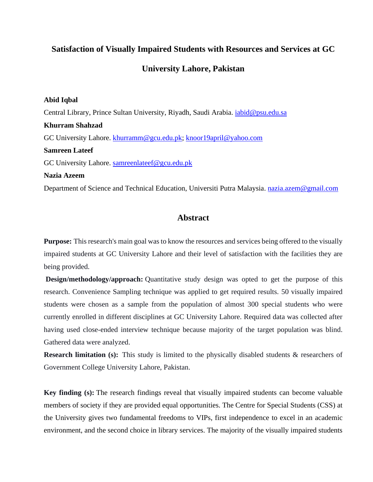## **Satisfaction of Visually Impaired Students with Resources and Services at GC**

### **University Lahore, Pakistan**

#### **Abid Iqbal**

Central Library, Prince Sultan University, Riyadh, Saudi Arabia. *iabid@psu.edu.sa* **Khurram Shahzad** GC University Lahore. [khurramm@gcu.edu.pk;](mailto:khurramm@gcu.edu.pk) [knoor19april@yahoo.com](mailto:knoor19april@yahoo.com) **Samreen Lateef** GC University Lahore. [samreenlateef@gcu.edu.pk](mailto:samreenlateef@gcu.edu.pk) **Nazia Azeem** Department of Science and Technical Education, Universiti Putra Malaysia. [nazia.azem@gmail.com](mailto:nazia.azem@gmail.com)

#### **Abstract**

**Purpose:** This research's main goal was to know the resources and services being offered to the visually impaired students at GC University Lahore and their level of satisfaction with the facilities they are being provided.

**Design/methodology/approach:** Quantitative study design was opted to get the purpose of this research. Convenience Sampling technique was applied to get required results. 50 visually impaired students were chosen as a sample from the population of almost 300 special students who were currently enrolled in different disciplines at GC University Lahore. Required data was collected after having used close-ended interview technique because majority of the target population was blind. Gathered data were analyzed.

**Research limitation (s):** This study is limited to the physically disabled students & researchers of Government College University Lahore, Pakistan.

**Key finding (s):** The research findings reveal that visually impaired students can become valuable members of society if they are provided equal opportunities. The Centre for Special Students (CSS) at the University gives two fundamental freedoms to VIPs, first independence to excel in an academic environment, and the second choice in library services. The majority of the visually impaired students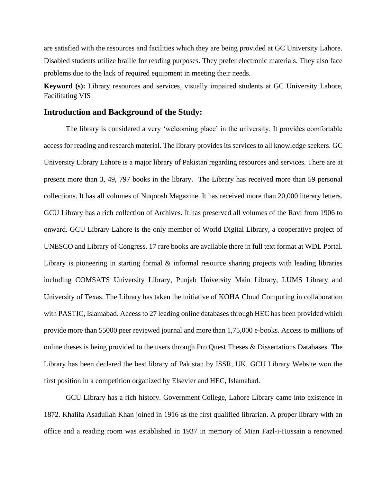are satisfied with the resources and facilities which they are being provided at GC University Lahore. Disabled students utilize braille for reading purposes. They prefer electronic materials. They also face problems due to the lack of required equipment in meeting their needs.

**Keyword (s):** Library resources and services, visually impaired students at GC University Lahore, Facilitating VIS

#### **Introduction and Background of the Study:**

The library is considered a very 'welcoming place' in the university. It provides comfortable access for reading and research material. The library provides its services to all knowledge seekers. GC University Library Lahore is a major library of Pakistan regarding resources and services. There are at present more than 3, 49, 797 books in the library. The Library has received more than 59 personal collections. It has all volumes of Nuqoosh Magazine. It has received more than 20,000 literary letters. GCU Library has a rich collection of Archives. It has preserved all volumes of the Ravi from 1906 to onward. GCU Library Lahore is the only member of World Digital Library, a cooperative project of UNESCO and Library of Congress. 17 rare books are available there in full text format at WDL Portal. Library is pioneering in starting formal  $\&$  informal resource sharing projects with leading libraries including COMSATS University Library, Punjab University Main Library, LUMS Library and University of Texas. The Library has taken the initiative of KOHA Cloud Computing in collaboration with PASTIC, Islamabad. Access to 27 leading online databases through HEC has been provided which provide more than 55000 peer reviewed journal and more than 1,75,000 e-books. Access to millions of online theses is being provided to the users through Pro Quest Theses & Dissertations Databases. The Library has been declared the best library of Pakistan by ISSR, UK. GCU Library Website won the first position in a competition organized by Elsevier and HEC, Islamabad.

GCU Library has a rich history. Government College, Lahore Library came into existence in 1872. Khalifa Asadullah Khan joined in 1916 as the first qualified librarian. A proper library with an office and a reading room was established in 1937 in memory of Mian Fazl-i-Hussain a renowned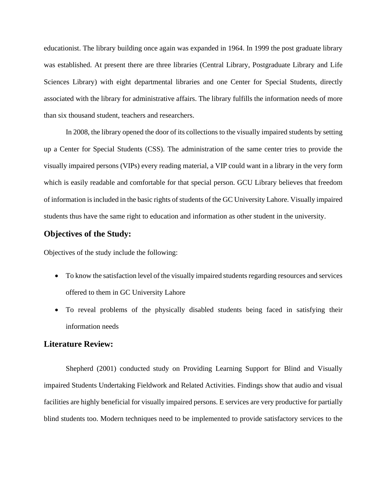educationist. The library building once again was expanded in 1964. In 1999 the post graduate library was established. At present there are three libraries (Central Library, Postgraduate Library and Life Sciences Library) with eight departmental libraries and one Center for Special Students, directly associated with the library for administrative affairs. The library fulfills the information needs of more than six thousand student, teachers and researchers.

In 2008, the library opened the door of its collections to the visually impaired students by setting up a Center for Special Students (CSS). The administration of the same center tries to provide the visually impaired persons (VIPs) every reading material, a VIP could want in a library in the very form which is easily readable and comfortable for that special person. GCU Library believes that freedom of information is included in the basic rights of students of the GC University Lahore. Visually impaired students thus have the same right to education and information as other student in the university.

#### **Objectives of the Study:**

Objectives of the study include the following:

- To know the satisfaction level of the visually impaired students regarding resources and services offered to them in GC University Lahore
- To reveal problems of the physically disabled students being faced in satisfying their information needs

#### **Literature Review:**

Shepherd (2001) conducted study on Providing Learning Support for Blind and Visually impaired Students Undertaking Fieldwork and Related Activities. Findings show that audio and visual facilities are highly beneficial for visually impaired persons. E services are very productive for partially blind students too. Modern techniques need to be implemented to provide satisfactory services to the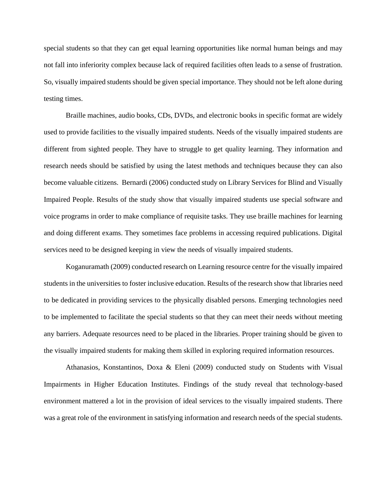special students so that they can get equal learning opportunities like normal human beings and may not fall into inferiority complex because lack of required facilities often leads to a sense of frustration. So, visually impaired students should be given special importance. They should not be left alone during testing times.

Braille machines, audio books, CDs, DVDs, and electronic books in specific format are widely used to provide facilities to the visually impaired students. Needs of the visually impaired students are different from sighted people. They have to struggle to get quality learning. They information and research needs should be satisfied by using the latest methods and techniques because they can also become valuable citizens. Bernardi (2006) conducted study on Library Services for Blind and Visually Impaired People. Results of the study show that visually impaired students use special software and voice programs in order to make compliance of requisite tasks. They use braille machines for learning and doing different exams. They sometimes face problems in accessing required publications. Digital services need to be designed keeping in view the needs of visually impaired students.

Koganuramath (2009) conducted research on Learning resource centre for the visually impaired students in the universities to foster inclusive education. Results of the research show that libraries need to be dedicated in providing services to the physically disabled persons. Emerging technologies need to be implemented to facilitate the special students so that they can meet their needs without meeting any barriers. Adequate resources need to be placed in the libraries. Proper training should be given to the visually impaired students for making them skilled in exploring required information resources.

Athanasios, Konstantinos, Doxa & Eleni (2009) conducted study on Students with Visual Impairments in Higher Education Institutes. Findings of the study reveal that technology-based environment mattered a lot in the provision of ideal services to the visually impaired students. There was a great role of the environment in satisfying information and research needs of the special students.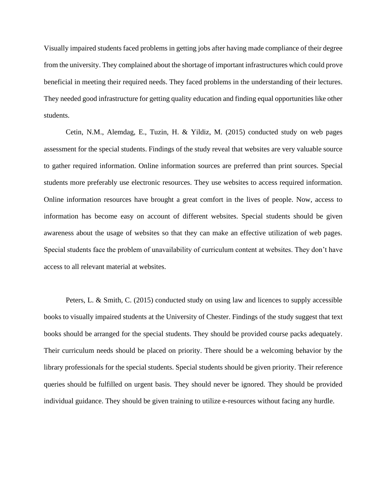Visually impaired students faced problems in getting jobs after having made compliance of their degree from the university. They complained about the shortage of important infrastructures which could prove beneficial in meeting their required needs. They faced problems in the understanding of their lectures. They needed good infrastructure for getting quality education and finding equal opportunities like other students.

Cetin, N.M., Alemdag, E., Tuzin, H. & Yildiz, M. (2015) conducted study on web pages assessment for the special students. Findings of the study reveal that websites are very valuable source to gather required information. Online information sources are preferred than print sources. Special students more preferably use electronic resources. They use websites to access required information. Online information resources have brought a great comfort in the lives of people. Now, access to information has become easy on account of different websites. Special students should be given awareness about the usage of websites so that they can make an effective utilization of web pages. Special students face the problem of unavailability of curriculum content at websites. They don't have access to all relevant material at websites.

Peters, L. & Smith, C. (2015) conducted study on using law and licences to supply accessible books to visually impaired students at the University of Chester. Findings of the study suggest that text books should be arranged for the special students. They should be provided course packs adequately. Their curriculum needs should be placed on priority. There should be a welcoming behavior by the library professionals for the special students. Special students should be given priority. Their reference queries should be fulfilled on urgent basis. They should never be ignored. They should be provided individual guidance. They should be given training to utilize e-resources without facing any hurdle.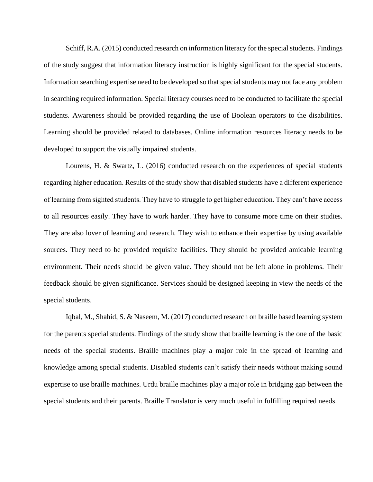Schiff, R.A. (2015) conducted research on information literacy for the special students. Findings of the study suggest that information literacy instruction is highly significant for the special students. Information searching expertise need to be developed so that special students may not face any problem in searching required information. Special literacy courses need to be conducted to facilitate the special students. Awareness should be provided regarding the use of Boolean operators to the disabilities. Learning should be provided related to databases. Online information resources literacy needs to be developed to support the visually impaired students.

Lourens, H. & Swartz, L. (2016) conducted research on the experiences of special students regarding higher education. Results of the study show that disabled students have a different experience of learning from sighted students. They have to struggle to get higher education. They can't have access to all resources easily. They have to work harder. They have to consume more time on their studies. They are also lover of learning and research. They wish to enhance their expertise by using available sources. They need to be provided requisite facilities. They should be provided amicable learning environment. Their needs should be given value. They should not be left alone in problems. Their feedback should be given significance. Services should be designed keeping in view the needs of the special students.

Iqbal, M., Shahid, S. & Naseem, M. (2017) conducted research on braille based learning system for the parents special students. Findings of the study show that braille learning is the one of the basic needs of the special students. Braille machines play a major role in the spread of learning and knowledge among special students. Disabled students can't satisfy their needs without making sound expertise to use braille machines. Urdu braille machines play a major role in bridging gap between the special students and their parents. Braille Translator is very much useful in fulfilling required needs.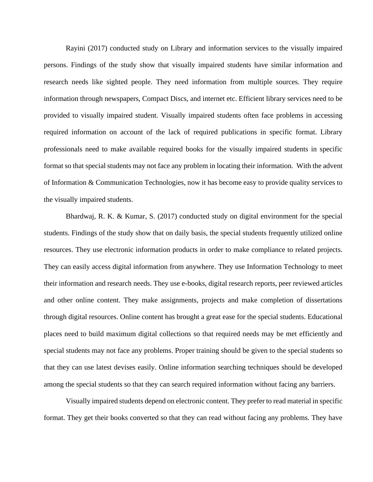Rayini (2017) conducted study on Library and information services to the visually impaired persons. Findings of the study show that visually impaired students have similar information and research needs like sighted people. They need information from multiple sources. They require information through newspapers, Compact Discs, and internet etc. Efficient library services need to be provided to visually impaired student. Visually impaired students often face problems in accessing required information on account of the lack of required publications in specific format. Library professionals need to make available required books for the visually impaired students in specific format so that special students may not face any problem in locating their information. With the advent of Information & Communication Technologies, now it has become easy to provide quality services to the visually impaired students.

Bhardwaj, R. K. & Kumar, S. (2017) conducted study on digital environment for the special students. Findings of the study show that on daily basis, the special students frequently utilized online resources. They use electronic information products in order to make compliance to related projects. They can easily access digital information from anywhere. They use Information Technology to meet their information and research needs. They use e-books, digital research reports, peer reviewed articles and other online content. They make assignments, projects and make completion of dissertations through digital resources. Online content has brought a great ease for the special students. Educational places need to build maximum digital collections so that required needs may be met efficiently and special students may not face any problems. Proper training should be given to the special students so that they can use latest devises easily. Online information searching techniques should be developed among the special students so that they can search required information without facing any barriers.

Visually impaired students depend on electronic content. They prefer to read material in specific format. They get their books converted so that they can read without facing any problems. They have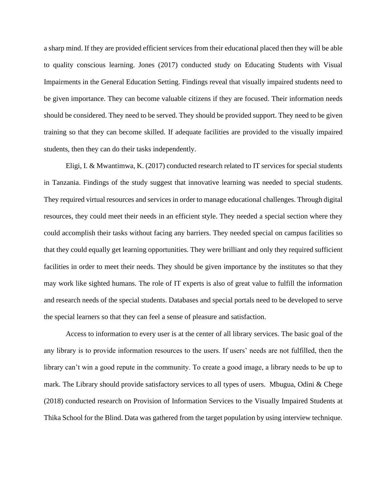a sharp mind. If they are provided efficient services from their educational placed then they will be able to quality conscious learning. Jones (2017) conducted study on Educating Students with Visual Impairments in the General Education Setting. Findings reveal that visually impaired students need to be given importance. They can become valuable citizens if they are focused. Their information needs should be considered. They need to be served. They should be provided support. They need to be given training so that they can become skilled. If adequate facilities are provided to the visually impaired students, then they can do their tasks independently.

Eligi, I. & Mwantimwa, K. (2017) conducted research related to IT services for special students in Tanzania. Findings of the study suggest that innovative learning was needed to special students. They required virtual resources and services in order to manage educational challenges. Through digital resources, they could meet their needs in an efficient style. They needed a special section where they could accomplish their tasks without facing any barriers. They needed special on campus facilities so that they could equally get learning opportunities. They were brilliant and only they required sufficient facilities in order to meet their needs. They should be given importance by the institutes so that they may work like sighted humans. The role of IT experts is also of great value to fulfill the information and research needs of the special students. Databases and special portals need to be developed to serve the special learners so that they can feel a sense of pleasure and satisfaction.

Access to information to every user is at the center of all library services. The basic goal of the any library is to provide information resources to the users. If users' needs are not fulfilled, then the library can't win a good repute in the community. To create a good image, a library needs to be up to mark. The Library should provide satisfactory services to all types of users. Mbugua, Odini & Chege (2018) conducted research on Provision of Information Services to the Visually Impaired Students at Thika School for the Blind. Data was gathered from the target population by using interview technique.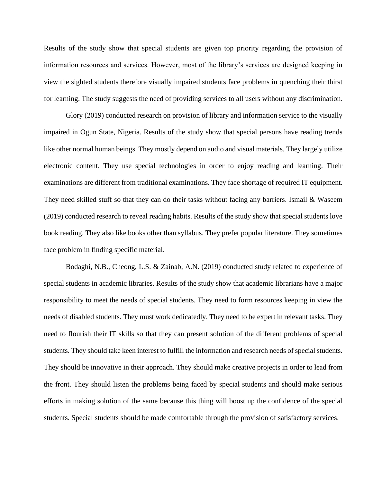Results of the study show that special students are given top priority regarding the provision of information resources and services. However, most of the library's services are designed keeping in view the sighted students therefore visually impaired students face problems in quenching their thirst for learning. The study suggests the need of providing services to all users without any discrimination.

Glory (2019) conducted research on provision of library and information service to the visually impaired in Ogun State, Nigeria. Results of the study show that special persons have reading trends like other normal human beings. They mostly depend on audio and visual materials. They largely utilize electronic content. They use special technologies in order to enjoy reading and learning. Their examinations are different from traditional examinations. They face shortage of required IT equipment. They need skilled stuff so that they can do their tasks without facing any barriers. Ismail & Waseem (2019) conducted research to reveal reading habits. Results of the study show that special students love book reading. They also like books other than syllabus. They prefer popular literature. They sometimes face problem in finding specific material.

Bodaghi, N.B., Cheong, L.S. & Zainab, A.N. (2019) conducted study related to experience of special students in academic libraries. Results of the study show that academic librarians have a major responsibility to meet the needs of special students. They need to form resources keeping in view the needs of disabled students. They must work dedicatedly. They need to be expert in relevant tasks. They need to flourish their IT skills so that they can present solution of the different problems of special students. They should take keen interest to fulfill the information and research needs of special students. They should be innovative in their approach. They should make creative projects in order to lead from the front. They should listen the problems being faced by special students and should make serious efforts in making solution of the same because this thing will boost up the confidence of the special students. Special students should be made comfortable through the provision of satisfactory services.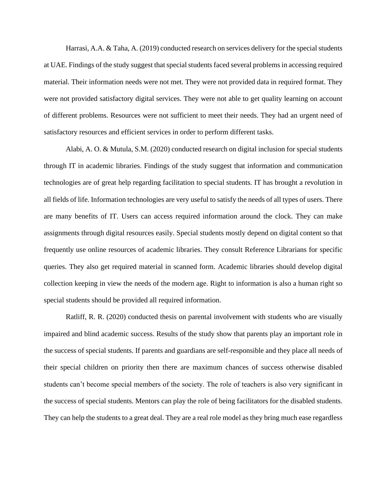Harrasi, A.A. & Taha, A. (2019) conducted research on services delivery for the special students at UAE. Findings of the study suggest that special students faced several problems in accessing required material. Their information needs were not met. They were not provided data in required format. They were not provided satisfactory digital services. They were not able to get quality learning on account of different problems. Resources were not sufficient to meet their needs. They had an urgent need of satisfactory resources and efficient services in order to perform different tasks.

Alabi, A. O. & Mutula, S.M. (2020) conducted research on digital inclusion for special students through IT in academic libraries. Findings of the study suggest that information and communication technologies are of great help regarding facilitation to special students. IT has brought a revolution in all fields of life. Information technologies are very useful to satisfy the needs of all types of users. There are many benefits of IT. Users can access required information around the clock. They can make assignments through digital resources easily. Special students mostly depend on digital content so that frequently use online resources of academic libraries. They consult Reference Librarians for specific queries. They also get required material in scanned form. Academic libraries should develop digital collection keeping in view the needs of the modern age. Right to information is also a human right so special students should be provided all required information.

Ratliff, R. R. (2020) conducted thesis on parental involvement with students who are visually impaired and blind academic success. Results of the study show that parents play an important role in the success of special students. If parents and guardians are self-responsible and they place all needs of their special children on priority then there are maximum chances of success otherwise disabled students can't become special members of the society. The role of teachers is also very significant in the success of special students. Mentors can play the role of being facilitators for the disabled students. They can help the students to a great deal. They are a real role model as they bring much ease regardless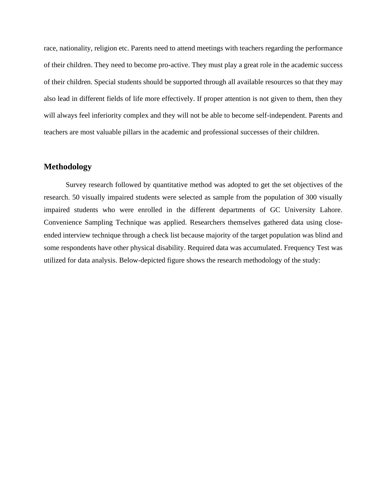race, nationality, religion etc. Parents need to attend meetings with teachers regarding the performance of their children. They need to become pro-active. They must play a great role in the academic success of their children. Special students should be supported through all available resources so that they may also lead in different fields of life more effectively. If proper attention is not given to them, then they will always feel inferiority complex and they will not be able to become self-independent. Parents and teachers are most valuable pillars in the academic and professional successes of their children.

### **Methodology**

Survey research followed by quantitative method was adopted to get the set objectives of the research. 50 visually impaired students were selected as sample from the population of 300 visually impaired students who were enrolled in the different departments of GC University Lahore. Convenience Sampling Technique was applied. Researchers themselves gathered data using closeended interview technique through a check list because majority of the target population was blind and some respondents have other physical disability. Required data was accumulated. Frequency Test was utilized for data analysis. Below-depicted figure shows the research methodology of the study: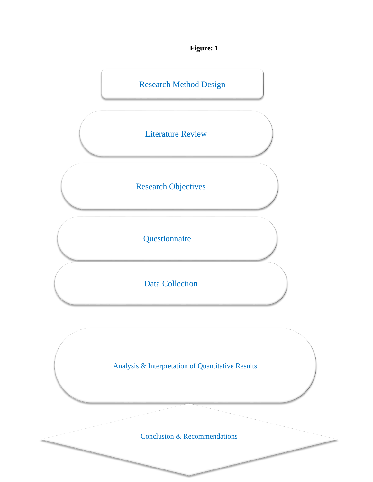**Figure: 1**



Analysis & Interpretation of Quantitative Results

Conclusion & Recommendations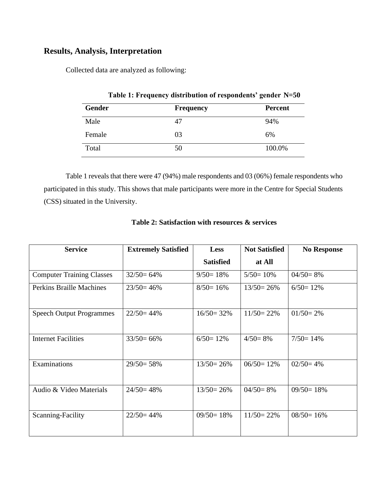## **Results, Analysis, Interpretation**

Collected data are analyzed as following:

| Table 1: Frequency distribution of respondents' gender N=50 |                  |                |  |  |
|-------------------------------------------------------------|------------------|----------------|--|--|
| <b>Gender</b>                                               | <b>Frequency</b> | <b>Percent</b> |  |  |
| Male                                                        | 47               | 94%            |  |  |
| Female                                                      | 03               | 6%             |  |  |
| Total                                                       | 50               | 100.0%         |  |  |

Table 1 reveals that there were 47 (94%) male respondents and 03 (06%) female respondents who participated in this study. This shows that male participants were more in the Centre for Special Students (CSS) situated in the University.

| <b>Service</b>                   | <b>Extremely Satisfied</b> | <b>Less</b>      | <b>Not Satisfied</b> | <b>No Response</b> |
|----------------------------------|----------------------------|------------------|----------------------|--------------------|
|                                  |                            | <b>Satisfied</b> | at All               |                    |
| <b>Computer Training Classes</b> | $32/50=64\%$               | $9/50=18%$       | $5/50=10%$           | $04/50=8%$         |
| <b>Perkins Braille Machines</b>  | $23/50=46%$                | $8/50=16%$       | $13/50=26%$          | $6/50=12\%$        |
| <b>Speech Output Programmes</b>  | $22/50=44%$                | $16/50 = 32\%$   | $11/50 = 22\%$       | $01/50=2%$         |
| <b>Internet Facilities</b>       | $33/50=66%$                | $6/50=12\%$      | $4/50=8%$            | $7/50=14%$         |
| Examinations                     | $29/50=58%$                | $13/50=26%$      | $06/50=12%$          | $02/50=4%$         |
| Audio & Video Materials          | $24/50=48%$                | $13/50 = 26%$    | $04/50=8%$           | $09/50=18%$        |
| Scanning-Facility                | $22/50=44\%$               | $09/50=18%$      | $11/50 = 22\%$       | $08/50=16%$        |

## **Table 2: Satisfaction with resources & services**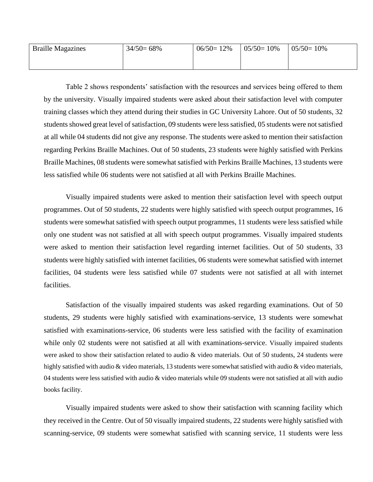| <b>Braille Magazines</b> | $34/50=68\%$ | $06/50=12\%$ | $05/50=10%$ | $05/50=10%$ |
|--------------------------|--------------|--------------|-------------|-------------|
|                          |              |              |             |             |

Table 2 shows respondents' satisfaction with the resources and services being offered to them by the university. Visually impaired students were asked about their satisfaction level with computer training classes which they attend during their studies in GC University Lahore. Out of 50 students, 32 students showed great level of satisfaction, 09 students were less satisfied, 05 students were not satisfied at all while 04 students did not give any response. The students were asked to mention their satisfaction regarding Perkins Braille Machines. Out of 50 students, 23 students were highly satisfied with Perkins Braille Machines, 08 students were somewhat satisfied with Perkins Braille Machines, 13 students were less satisfied while 06 students were not satisfied at all with Perkins Braille Machines.

Visually impaired students were asked to mention their satisfaction level with speech output programmes. Out of 50 students, 22 students were highly satisfied with speech output programmes, 16 students were somewhat satisfied with speech output programmes, 11 students were less satisfied while only one student was not satisfied at all with speech output programmes. Visually impaired students were asked to mention their satisfaction level regarding internet facilities. Out of 50 students, 33 students were highly satisfied with internet facilities, 06 students were somewhat satisfied with internet facilities, 04 students were less satisfied while 07 students were not satisfied at all with internet facilities.

Satisfaction of the visually impaired students was asked regarding examinations. Out of 50 students, 29 students were highly satisfied with examinations-service, 13 students were somewhat satisfied with examinations-service, 06 students were less satisfied with the facility of examination while only 02 students were not satisfied at all with examinations-service. Visually impaired students were asked to show their satisfaction related to audio & video materials. Out of 50 students, 24 students were highly satisfied with audio & video materials, 13 students were somewhat satisfied with audio & video materials, 04 students were less satisfied with audio & video materials while 09 students were not satisfied at all with audio books facility.

Visually impaired students were asked to show their satisfaction with scanning facility which they received in the Centre. Out of 50 visually impaired students, 22 students were highly satisfied with scanning-service, 09 students were somewhat satisfied with scanning service, 11 students were less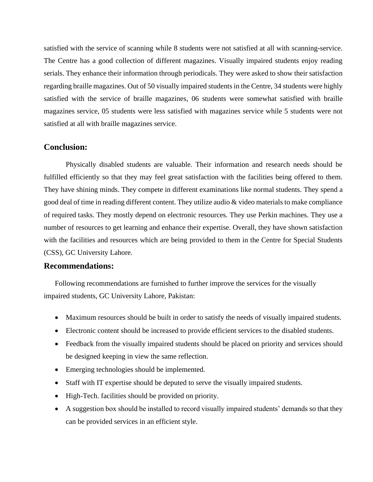satisfied with the service of scanning while 8 students were not satisfied at all with scanning-service. The Centre has a good collection of different magazines. Visually impaired students enjoy reading serials. They enhance their information through periodicals. They were asked to show their satisfaction regarding braille magazines. Out of 50 visually impaired students in the Centre, 34 students were highly satisfied with the service of braille magazines, 06 students were somewhat satisfied with braille magazines service, 05 students were less satisfied with magazines service while 5 students were not satisfied at all with braille magazines service.

#### **Conclusion:**

Physically disabled students are valuable. Their information and research needs should be fulfilled efficiently so that they may feel great satisfaction with the facilities being offered to them. They have shining minds. They compete in different examinations like normal students. They spend a good deal of time in reading different content. They utilize audio & video materials to make compliance of required tasks. They mostly depend on electronic resources. They use Perkin machines. They use a number of resources to get learning and enhance their expertise. Overall, they have shown satisfaction with the facilities and resources which are being provided to them in the Centre for Special Students (CSS), GC University Lahore.

#### **Recommendations:**

Following recommendations are furnished to further improve the services for the visually impaired students, GC University Lahore, Pakistan:

- Maximum resources should be built in order to satisfy the needs of visually impaired students.
- Electronic content should be increased to provide efficient services to the disabled students.
- Feedback from the visually impaired students should be placed on priority and services should be designed keeping in view the same reflection.
- Emerging technologies should be implemented.
- Staff with IT expertise should be deputed to serve the visually impaired students.
- High-Tech. facilities should be provided on priority.
- A suggestion box should be installed to record visually impaired students' demands so that they can be provided services in an efficient style.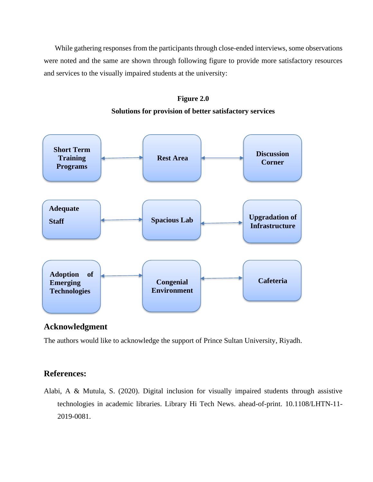While gathering responses from the participants through close-ended interviews, some observations were noted and the same are shown through following figure to provide more satisfactory resources and services to the visually impaired students at the university:





# **Solutions for provision of better satisfactory services**

## **Acknowledgment**

The authors would like to acknowledge the support of Prince Sultan University, Riyadh.

## **References:**

Alabi, A & Mutula, S. (2020). Digital inclusion for visually impaired students through assistive technologies in academic libraries. Library Hi Tech News. ahead-of-print. 10.1108/LHTN-11- 2019-0081.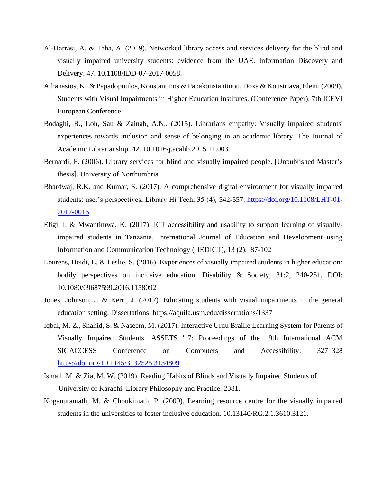- Al-Harrasi, A. & Taha, A. (2019). Networked library access and services delivery for the blind and visually impaired university students: evidence from the UAE. Information Discovery and Delivery. 47. 10.1108/IDD-07-2017-0058.
- Athanasios, K. & Papadopoulos, Konstantinos & Papakonstantinou, Doxa & Koustriava, Eleni. (2009). Students with Visual Impairments in Higher Education Institutes. (Conference Paper). 7th ICEVI European Conference
- Bodaghi, B., Loh, Sau & Zainab, A.N.. (2015). Librarians empathy: Visually impaired students' experiences towards inclusion and sense of belonging in an academic library. The Journal of Academic Librarianship. 42. 10.1016/j.acalib.2015.11.003.
- Bernardi, F. (2006). Library services for blind and visually impaired people. [Unpublished Master's thesis]. University of Northumbria
- Bhardwaj, R.K. and Kumar, S. (2017). A comprehensive digital environment for visually impaired students: user's perspectives, Library Hi Tech, 35 (4), 542-557. [https://doi.org/10.1108/LHT-01-](https://doi.org/10.1108/LHT-01-2017-0016) [2017-0016](https://doi.org/10.1108/LHT-01-2017-0016)
- Eligi, I. & Mwantimwa, K. (2017). ICT accessibility and usability to support learning of visuallyimpaired students in Tanzania, International Journal of Education and Development using Information and Communication Technology (IJEDICT), 13 (2), 87-102
- Lourens, Heidi, L. & Leslie, S. (2016). Experiences of visually impaired students in higher education: bodily perspectives on inclusive education, Disability & Society, 31:2, 240-251, DOI: 10.1080/09687599.2016.1158092
- Jones, Johnson, J. & Kerri, J. (2017). Educating students with visual impairments in the general education setting. Dissertations. https://aquila.usm.edu/dissertations/1337
- Iqbal, M. Z., Shahid, S. & Naseem, M. (2017). Interactive Urdu Braille Learning System for Parents of Visually Impaired Students. ASSETS '17: Proceedings of the 19th International ACM SIGACCESS Conference on Computers and Accessibility. 327–328 <https://doi.org/10.1145/3132525.3134809>
- Ismail, M. & Zia, M. W. (2019). Reading Habits of Blinds and Visually Impaired Students of University of Karachi. Library Philosophy and Practice. 2381.
- Koganuramath, M. & Choukimath, P. (2009). Learning resource centre for the visually impaired students in the universities to foster inclusive education. 10.13140/RG.2.1.3610.3121.